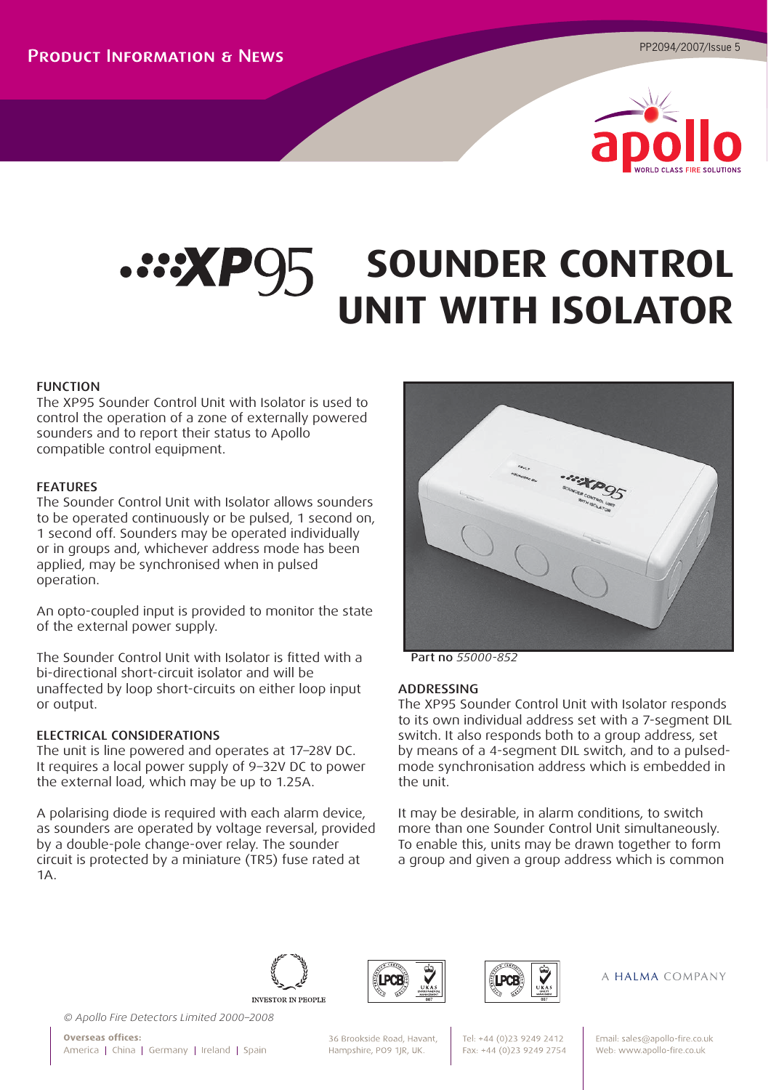

# **SOUNDER CONTROL UNIT WITH ISOLATOR**

## FUNCTION

The XP95 Sounder Control Unit with Isolator is used to control the operation of a zone of externally powered sounders and to report their status to Apollo compatible control equipment.

#### FEATURES

The Sounder Control Unit with Isolator allows sounders to be operated continuously or be pulsed, 1 second on, 1 second off. Sounders may be operated individually or in groups and, whichever address mode has been applied, may be synchronised when in pulsed operation.

An opto-coupled input is provided to monitor the state of the external power supply.

The Sounder Control Unit with Isolator is fitted with a bi-directional short-circuit isolator and will be unaffected by loop short-circuits on either loop input or output.

## ELECTRICAL CONSIDERATIONS

The unit is line powered and operates at 17–28V DC. It requires a local power supply of 9–32V DC to power the external load, which may be up to 1.25A.

A polarising diode is required with each alarm device, as sounders are operated by voltage reversal, provided by a double-pole change-over relay. The sounder circuit is protected by a miniature (TR5) fuse rated at 1A.



Part no *55000-852* 

#### ADDRESSING

The XP95 Sounder Control Unit with Isolator responds to its own individual address set with a 7-segment DIL switch. It also responds both to a group address, set by means of a 4-segment DIL switch, and to a pulsedmode synchronisation address which is embedded in the unit.

It may be desirable, in alarm conditions, to switch more than one Sounder Control Unit simultaneously. To enable this, units may be drawn together to form a group and given a group address which is common







#### A HALMA COMPANY

*© Apollo Fire Detectors Limited 2000–2008*

Overseas offices: America | China | Germany | Ireland | Spain

36 Brookside Road, Havant, Hampshire, PO9 1JR, UK.

Tel: +44 (0)23 9249 2412 Fax: +44 (0)23 9249 2754 Email: sales@apollo-fire.co.uk Web: www.apollo-fire.co.uk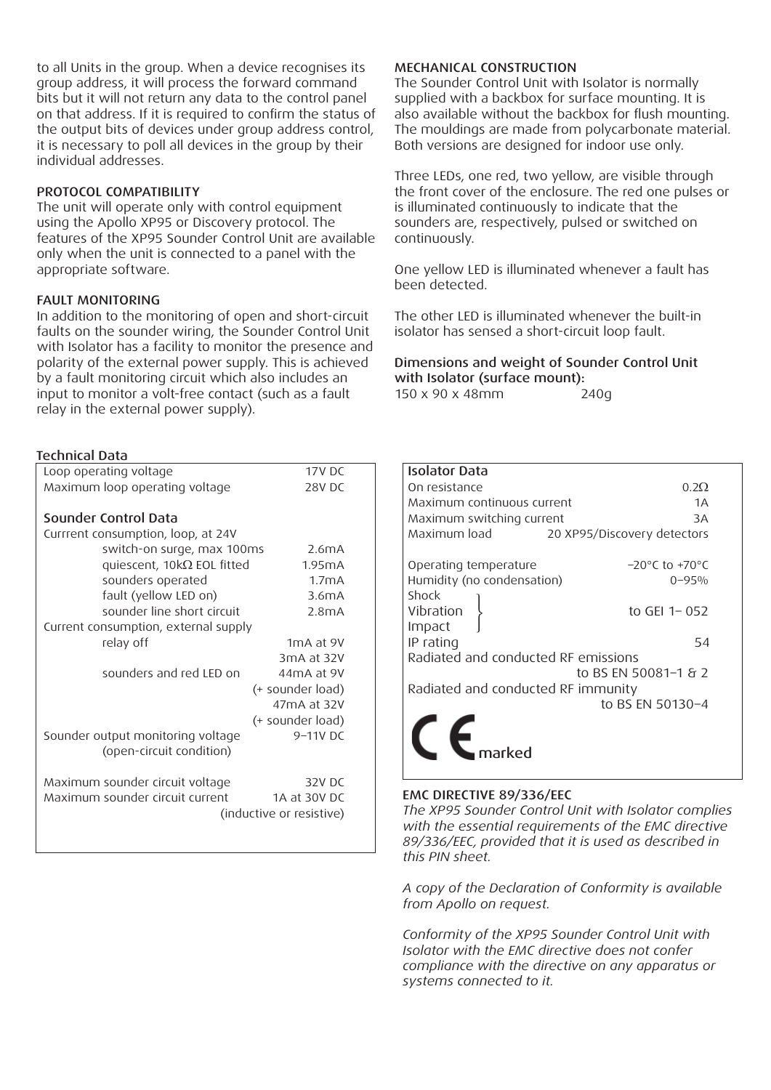to all Units in the group. When a device recognises its group address, it will process the forward command bits but it will not return any data to the control panel on that address. If it is required to confirm the status of the output bits of devices under group address control, it is necessary to poll all devices in the group by their individual addresses.

## PROTOCOL COMPATIBILITY

The unit will operate only with control equipment using the Apollo XP95 or Discovery protocol. The features of the XP95 Sounder Control Unit are available only when the unit is connected to a panel with the appropriate software.

## FAULT MONITORING

In addition to the monitoring of open and short-circuit faults on the sounder wiring, the Sounder Control Unit with Isolator has a facility to monitor the presence and polarity of the external power supply. This is achieved by a fault monitoring circuit which also includes an input to monitor a volt-free contact (such as a fault relay in the external power supply).

#### Technical Data

| Loop operating voltage               | 17V <sub>D</sub> C     |  |
|--------------------------------------|------------------------|--|
| Maximum loop operating voltage       | 28V DC                 |  |
| Sounder Control Data                 |                        |  |
| Currrent consumption, loop, at 24V   |                        |  |
| switch-on surge, max 100ms           | 2.6mA                  |  |
| quiescent, $10k\Omega$ EOL fitted    | 1.95mA                 |  |
| sounders operated                    | 1.7mA                  |  |
| fault (yellow LED on)                | 3.6mA                  |  |
| sounder line short circuit           | 2.8mA                  |  |
| Current consumption, external supply |                        |  |
| relay off                            | 1 <sub>m</sub> A at 9V |  |
|                                      | 3mA at 32V             |  |
| sounders and red LED on              | 44mA at 9V             |  |
|                                      | (+ sounder load)       |  |
|                                      | 47mA at 32V            |  |
|                                      | (+ sounder load)       |  |
| Sounder output monitoring voltage    | 9-11V DC               |  |
| (open-circuit condition)             |                        |  |
| Maximum sounder circuit voltage      | 32V DC                 |  |
| Maximum sounder circuit current      | 1A at 30V DC           |  |
| (inductive or resistive)             |                        |  |
|                                      |                        |  |

## MECHANICAL CONSTRUCTION

The Sounder Control Unit with Isolator is normally supplied with a backbox for surface mounting. It is also available without the backbox for flush mounting. The mouldings are made from polycarbonate material. Both versions are designed for indoor use only.

Three LEDs, one red, two yellow, are visible through the front cover of the enclosure. The red one pulses or is illuminated continuously to indicate that the sounders are, respectively, pulsed or switched on continuously.

One yellow LED is illuminated whenever a fault has been detected.

The other LED is illuminated whenever the built-in isolator has sensed a short-circuit loop fault.

Dimensions and weight of Sounder Control Unit with Isolator (surface mount):

150 x 90 x 48mm 240g

| Isolator Data                       |                                    |  |
|-------------------------------------|------------------------------------|--|
| On resistance                       | 0.2Q                               |  |
| Maximum continuous current          | 1A                                 |  |
| Maximum switching current           | 3A                                 |  |
| Maximum load                        | 20 XP95/Discovery detectors        |  |
| Operating temperature               | $-20^{\circ}$ C to $+70^{\circ}$ C |  |
| Humidity (no condensation)          | $0 - 95%$                          |  |
| Shock                               |                                    |  |
| Vibration                           | to GEI 1-052                       |  |
| Impact                              |                                    |  |
| IP rating                           | 54                                 |  |
| Radiated and conducted RF emissions |                                    |  |
| to BS EN 50081-1 & 2                |                                    |  |
| Radiated and conducted RF immunity  |                                    |  |
|                                     | to BS EN 50130-4                   |  |
|                                     |                                    |  |
|                                     |                                    |  |
|                                     |                                    |  |

#### EMC DIRECTIVE 89/336/EEC

*The XP95 Sounder Control Unit with Isolator complies with the essential requirements of the EMC directive 89/336/EEC, provided that it is used as described in this PIN sheet.*

*A copy of the Declaration of Conformity is available from Apollo on request.*

*Conformity of the XP95 Sounder Control Unit with Isolator with the EMC directive does not confer compliance with the directive on any apparatus or systems connected to it.*